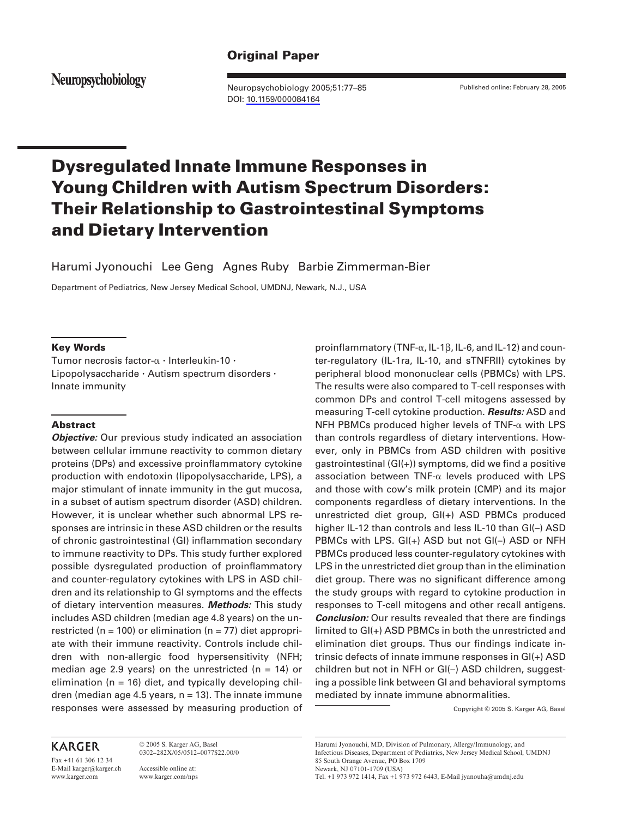# **Original Paper**

Neuropsychobiology

Neuropsychobiology 2005;51:77–85 DOI: [10.1159/000084164](http://dx.doi.org/10.1159%2F000084164)

Published online: February 28, 2005

# **Dysregulated Innate Immune Responses in Young Children with Autism Spectrum Disorders: Their Relationship to Gastrointestinal Symptoms and Dietary Intervention**

Harumi Jyonouchi Lee Geng Agnes Ruby Barbie Zimmerman-Bier

Department of Pediatrics, New Jersey Medical School, UMDNJ, Newark, N.J. , USA

#### **Key Words**

Tumor necrosis factor- $\alpha$  · Interleukin-10 · Lipopolysaccharide  $\cdot$  Autism spectrum disorders  $\cdot$ Innate immunity

## **Abstract**

*Objective:* Our previous study indicated an association between cellular immune reactivity to common dietary proteins (DPs) and excessive proinflammatory cytokine production with endotoxin (lipopolysaccharide, LPS), a major stimulant of innate immunity in the gut mucosa, in a subset of autism spectrum disorder (ASD) children. However, it is unclear whether such abnormal LPS responses are intrinsic in these ASD children or the results of chronic gastrointestinal (GI) inflammation secondary to immune reactivity to DPs. This study further explored possible dysregulated production of proinflammatory and counter-regulatory cytokines with LPS in ASD children and its relationship to GI symptoms and the effects of dietary intervention measures. *Methods:* This study includes ASD children (median age 4.8 years) on the unrestricted ( $n = 100$ ) or elimination ( $n = 77$ ) diet appropriate with their immune reactivity. Controls include children with non-allergic food hypersensitivity (NFH; median age 2.9 years) on the unrestricted ( $n = 14$ ) or elimination ( $n = 16$ ) diet, and typically developing children (median age 4.5 years,  $n = 13$ ). The innate immune responses were assessed by measuring production of

# **KARGER**

Fax +41 61 306 12 34 E-Mail karger@karger.ch www.karger.com

© 2005 S. Karger AG, Basel 0302–282X/05/0512–0077\$22.00/0

Accessible online at: www.karger.com/nps

proinflammatory (TNF- $\alpha$ , IL-1 $\beta$ , IL-6, and IL-12) and counter-regulatory (IL-1ra, IL-10, and sTNFRII) cytokines by peripheral blood mononuclear cells (PBMCs) with LPS. The results were also compared to T-cell responses with common DPs and control T-cell mitogens assessed by measuring T-cell cytokine production. *Results:* ASD and NFH PBMCs produced higher levels of  $TNF-\alpha$  with LPS than controls regardless of dietary interventions. However, only in PBMCs from ASD children with positive gastrointestinal (GI(+)) symptoms, did we find a positive association between TNF- $\alpha$  levels produced with LPS and those with cow's milk protein (CMP) and its major components regardless of dietary interventions. In the unrestricted diet group, GI(+) ASD PBMCs produced higher IL-12 than controls and less IL-10 than GI(–) ASD PBMCs with LPS. GI(+) ASD but not GI(–) ASD or NFH PBMCs produced less counter-regulatory cytokines with LPS in the unrestricted diet group than in the elimination diet group. There was no significant difference among the study groups with regard to cytokine production in responses to T-cell mitogens and other recall antigens. **Conclusion:** Our results revealed that there are findings limited to GI(+) ASD PBMCs in both the unrestricted and elimination diet groups. Thus our findings indicate intrinsic defects of innate immune responses in GI(+) ASD children but not in NFH or GI(–) ASD children, suggesting a possible link between GI and behavioral symptoms mediated by innate immune abnormalities.

Copyright © 2005 S. Karger AG, Basel

Harumi Jyonouchi, MD, Division of Pulmonary, Allergy/Immunology, and Infectious Diseases, Department of Pediatrics, New Jersey Medical School, UMDNJ 85 South Orange Avenue, PO Box 1709 Newark, NJ 07101-1709 (USA)

Tel. +1 973 972 1414, Fax +1 973 972 6443, E-Mail jyanouha@umdnj.edu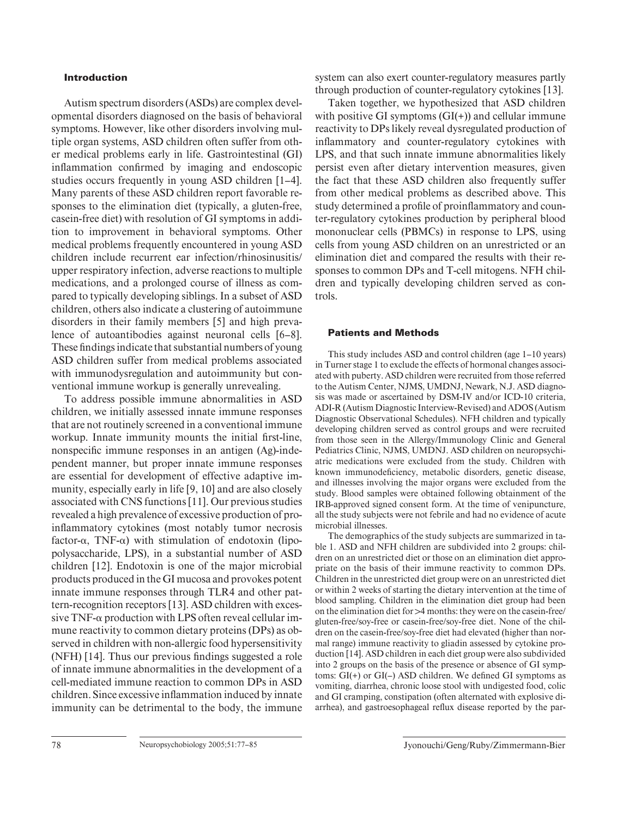## **Introduction**

Autism spectrum disorders (ASDs) are complex developmental disorders diagnosed on the basis of behavioral symptoms. However, like other disorders involving multiple organ systems, ASD children often suffer from other medical problems early in life. Gastrointestinal (GI) inflammation confirmed by imaging and endoscopic studies occurs frequently in young ASD children [1–4]. Many parents of these ASD children report favorable responses to the elimination diet (typically, a gluten-free, casein-free diet) with resolution of GI symptoms in addition to improvement in behavioral symptoms. Other medical problems frequently encountered in young ASD children include recurrent ear infection/rhinosinusitis/ upper respiratory infection, adverse reactions to multiple medications, and a prolonged course of illness as compared to typically developing siblings. In a subset of ASD children, others also indicate a clustering of autoimmune disorders in their family members [5] and high prevalence of autoantibodies against neuronal cells [6–8]. These findings indicate that substantial numbers of young ASD children suffer from medical problems associated with immunodysregulation and autoimmunity but conventional immune workup is generally unrevealing.

To address possible immune abnormalities in ASD children, we initially assessed innate immune responses that are not routinely screened in a conventional immune workup. Innate immunity mounts the initial first-line, nonspecific immune responses in an antigen (Ag)-independent manner, but proper innate immune responses are essential for development of effective adaptive immunity, especially early in life [9, 10] and are also closely associated with CNS functions [11] . Our previous studies revealed a high prevalence of excessive production of proinflammatory cytokines (most notably tumor necrosis factor- $\alpha$ , TNF- $\alpha$ ) with stimulation of endotoxin (lipopolysaccharide, LPS), in a substantial number of ASD children [12]. Endotoxin is one of the major microbial products produced in the GI mucosa and provokes potent innate immune responses through TLR4 and other pattern-recognition receptors [13] . ASD children with excessive  $TNF-\alpha$  production with LPS often reveal cellular immune reactivity to common dietary proteins (DPs) as observed in children with non-allergic food hypersensitivity  $(NFH)$  [14]. Thus our previous findings suggested a role of innate immune abnormalities in the development of a cell-mediated immune reaction to common DPs in ASD children. Since excessive inflammation induced by innate immunity can be detrimental to the body, the immune system can also exert counter-regulatory measures partly through production of counter-regulatory cytokines [13] .

Taken together, we hypothesized that ASD children with positive GI symptoms  $(GI(+)$  and cellular immune reactivity to DPs likely reveal dysregulated production of inflammatory and counter-regulatory cytokines with LPS, and that such innate immune abnormalities likely persist even after dietary intervention measures, given the fact that these ASD children also frequently suffer from other medical problems as described above. This study determined a profile of proinflammatory and counter-regulatory cytokines production by peripheral blood mononuclear cells (PBMCs) in response to LPS, using cells from young ASD children on an unrestricted or an elimination diet and compared the results with their responses to common DPs and T-cell mitogens. NFH children and typically developing children served as controls.

#### **Patients and Methods**

This study includes ASD and control children (age 1–10 years) in Turner stage 1 to exclude the effects of hormonal changes associated with puberty. ASD children were recruited from those referred to the Autism Center, NJMS, UMDNJ, Newark, N.J. ASD diagnosis was made or ascertained by DSM-IV and/or ICD-10 criteria, ADI-R (Autism Diagnostic Interview-Revised) and ADOS (Autism Diagnostic Observational Schedules). NFH children and typically developing children served as control groups and were recruited from those seen in the Allergy/Immunology Clinic and General Pediatrics Clinic, NJMS, UMDNJ. ASD children on neuropsychiatric medications were excluded from the study. Children with known immunodeficiency, metabolic disorders, genetic disease, and illnesses involving the major organs were excluded from the study. Blood samples were obtained following obtainment of the IRB-approved signed consent form. At the time of venipuncture, all the study subjects were not febrile and had no evidence of acute microbial illnesses.

The demographics of the study subjects are summarized in table 1. ASD and NFH children are subdivided into 2 groups: children on an unrestricted diet or those on an elimination diet appropriate on the basis of their immune reactivity to common DPs. Children in the unrestricted diet group were on an unrestricted diet or within 2 weeks of starting the dietary intervention at the time of blood sampling. Children in the elimination diet group had been on the elimination diet for  $>4$  months: they were on the case in-free/ gluten-free/soy-free or casein-free/soy-free diet. None of the children on the casein-free/soy-free diet had elevated (higher than normal range) immune reactivity to gliadin assessed by cytokine production [14]. ASD children in each diet group were also subdivided into 2 groups on the basis of the presence or absence of GI symptoms:  $GI(+)$  or  $GI(-)$  ASD children. We defined GI symptoms as vomiting, diarrhea, chronic loose stool with undigested food, colic and GI cramping, constipation (often alternated with explosive diarrhea), and gastroesophageal reflux disease reported by the par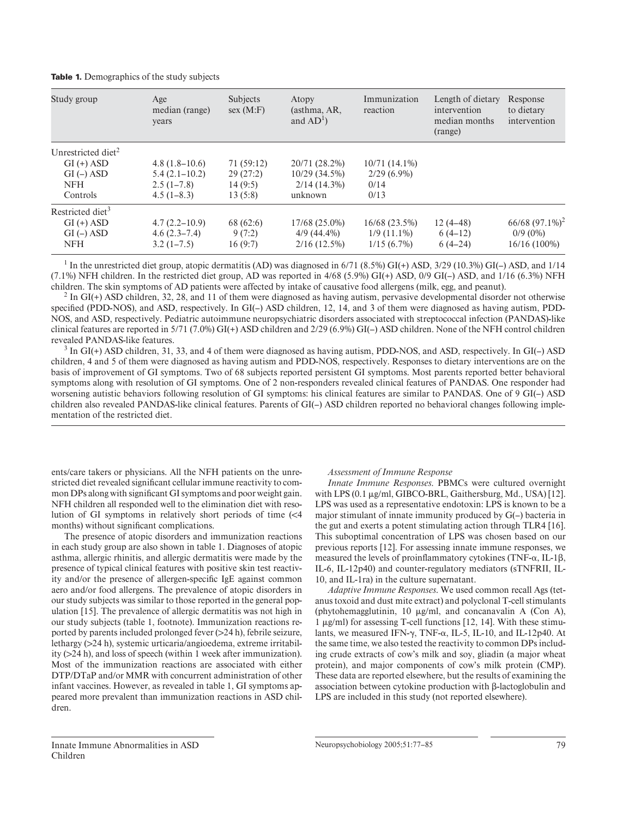**Table 1.** Demographics of the study subjects

| Study group                    | Age<br>median (range)<br>years | <b>Subjects</b><br>sex(M: F) | Atopy<br>(asthma, AR,<br>and $AD^1$ ) | Immunization<br>reaction | Length of dietary<br>intervention<br>median months<br>(range) | Response<br>to dietary<br>intervention |
|--------------------------------|--------------------------------|------------------------------|---------------------------------------|--------------------------|---------------------------------------------------------------|----------------------------------------|
| Unrestricted diet <sup>2</sup> |                                |                              |                                       |                          |                                                               |                                        |
| $GI (+)$ ASD                   | $4.8(1.8-10.6)$                | 71 (59:12)                   | 20/71 (28.2%)                         | $10/71(14.1\%)$          |                                                               |                                        |
| $GI(-)$ ASD                    | $5.4(2.1-10.2)$                | 29(27:2)                     | $10/29(34.5\%)$                       | $2/29(6.9\%)$            |                                                               |                                        |
| <b>NFH</b>                     | $2.5(1-7.8)$                   | 14(9:5)                      | $2/14(14.3\%)$                        | 0/14                     |                                                               |                                        |
| Controls                       | $4.5(1-8.3)$                   | 13(5:8)                      | unknown                               | 0/13                     |                                                               |                                        |
| Restricted diet <sup>3</sup>   |                                |                              |                                       |                          |                                                               |                                        |
| $GI (+)$ ASD                   | $4.7(2.2 - 10.9)$              | 68 (62:6)                    | 17/68 (25.0%)                         | 16/68 (23.5%)            | $12(4-48)$                                                    | $66/68 (97.1\%)^2$                     |
| $GI(-)$ ASD                    | $4.6(2.3-7.4)$                 | 9(7:2)                       | $4/9(44.4\%)$                         | $1/9(11.1\%)$            | $6(4-12)$                                                     | $0/9(0\%)$                             |
| <b>NFH</b>                     | $3.2(1-7.5)$                   | 16(9:7)                      | $2/16(12.5\%)$                        | $1/15(6.7\%)$            | $6(4-24)$                                                     | 16/16 (100%)                           |

<sup>1</sup> In the unrestricted diet group, atopic dermatitis (AD) was diagnosed in  $6/71$  (8.5%) GI(+) ASD, 3/29 (10.3%) GI(-) ASD, and 1/14 (7.1%) NFH children. In the restricted diet group, AD was reported in 4/68 (5.9%) GI(+) ASD, 0/9 GI(–) ASD, and 1/16 (6.3%) NFH children. The skin symptoms of AD patients were affected by intake of causative food allergens (milk, egg, and peanut).

 $^2$  In GI(+) ASD children, 32, 28, and 11 of them were diagnosed as having autism, pervasive developmental disorder not otherwise specified (PDD-NOS), and ASD, respectively. In  $GI(-)$  ASD children, 12, 14, and 3 of them were diagnosed as having autism, PDD-NOS, and ASD, respectively. Pediatric autoimmune neuropsychiatric disorders associated with streptococcal infection (PANDAS)-like clinical features are reported in 5/71 (7.0%) GI(+) ASD children and 2/29 (6.9%) GI(–) ASD children. None of the NFH control children revealed PANDAS-like features.

 $3 \ln \text{GI}(+)$  ASD children, 31, 33, and 4 of them were diagnosed as having autism, PDD-NOS, and ASD, respectively. In GI(-) ASD children, 4 and 5 of them were diagnosed as having autism and PDD-NOS, respectively. Responses to dietary interventions are on the basis of improvement of GI symptoms. Two of 68 subjects reported persistent GI symptoms. Most parents reported better behavioral symptoms along with resolution of GI symptoms. One of 2 non-responders revealed clinical features of PANDAS. One responder had worsening autistic behaviors following resolution of GI symptoms: his clinical features are similar to PANDAS. One of 9 GI(–) ASD children also revealed PANDAS-like clinical features. Parents of GI(–) ASD children reported no behavioral changes following implementation of the restricted diet.

ents/care takers or physicians. All the NFH patients on the unrestricted diet revealed significant cellular immune reactivity to common DPs along with significant GI symptoms and poor weight gain. NFH children all responded well to the elimination diet with resolution of GI symptoms in relatively short periods of time  $\ll 4$ months) without significant complications.

The presence of atopic disorders and immunization reactions in each study group are also shown in table 1. Diagnoses of atopic asthma, allergic rhinitis, and allergic dermatitis were made by the presence of typical clinical features with positive skin test reactivity and/or the presence of allergen-specific IgE against common aero and/or food allergens. The prevalence of atopic disorders in our study subjects was similar to those reported in the general population [15]. The prevalence of allergic dermatitis was not high in our study subjects (table 1, footnote). Immunization reactions reported by parents included prolonged fever  $(>24 h)$ , febrile seizure, lethargy  $( > 24 h)$ , systemic urticaria/angioedema, extreme irritability  $($   $>$ 24 h), and loss of speech (within 1 week after immunization). Most of the immunization reactions are associated with either DTP/DTaP and/or MMR with concurrent administration of other infant vaccines. However, as revealed in table 1, GI symptoms appeared more prevalent than immunization reactions in ASD children.

#### *Assessment of Immune Response*

*Innate Immune Responses* . PBMCs were cultured overnight with LPS  $(0.1 \mu g/ml, GIBCO-BRL, Gaithersburg, Md., USA)$  [12]. LPS was used as a representative endotoxin: LPS is known to be a major stimulant of innate immunity produced by G(–) bacteria in the gut and exerts a potent stimulating action through TLR4 [16] . This suboptimal concentration of LPS was chosen based on our previous reports [12] . For assessing innate immune responses, we measured the levels of proinflammatory cytokines (TNF- $\alpha$ , IL-1 $\beta$ , IL-6, IL-12p40) and counter-regulatory mediators (sTNFRII, IL-10, and IL-1ra) in the culture supernatant.

*Adaptive Immune Responses* . We used common recall Ags (tetanus toxoid and dust mite extract) and polyclonal T-cell stimulants (phytohemagglutinin, 10  $\mu$ g/ml, and concanavalin A (Con A), 1  $\mu$ g/ml) for assessing T-cell functions [12, 14]. With these stimulants, we measured IFN- $\gamma$ , TNF- $\alpha$ , IL-5, IL-10, and IL-12p40. At the same time, we also tested the reactivity to common DPs including crude extracts of cow's milk and soy, gliadin (a major wheat protein), and major components of cow's milk protein (CMP). These data are reported elsewhere, but the results of examining the association between cytokine production with  $\beta$ -lactoglobulin and LPS are included in this study (not reported elsewhere).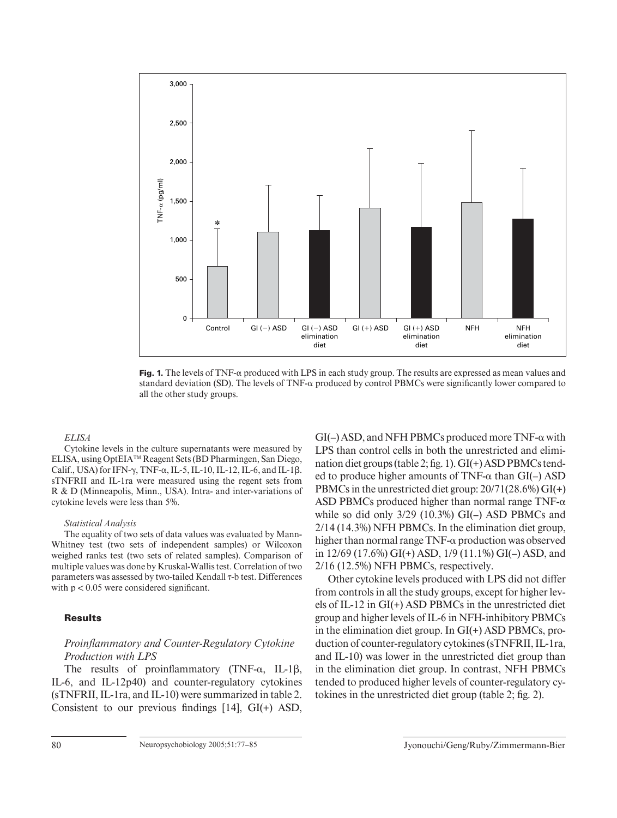

**Fig. 1.** The levels of TNF- $\alpha$  produced with LPS in each study group. The results are expressed as mean values and standard deviation (SD). The levels of  $TNF-\alpha$  produced by control PBMCs were significantly lower compared to all the other study groups.

#### *ELISA*

Cytokine levels in the culture supernatants were measured by ELISA, using OptEIA™ Reagent Sets (BD Pharmingen, San Diego, Calif., USA) for IFN- $\gamma$ , TNF- $\alpha$ , IL-5, IL-10, IL-12, IL-6, and IL-1 $\beta$ . sTNFRII and IL-1ra were measured using the regent sets from R & D (Minneapolis, Minn., USA). Intra- and inter-variations of cytokine levels were less than 5%.

#### *Statistical Analysis*

The equality of two sets of data values was evaluated by Mann-Whitney test (two sets of independent samples) or Wilcoxon weighed ranks test (two sets of related samples). Comparison of multiple values was done by Kruskal-Wallis test. Correlation of two parameters was assessed by two-tailed Kendall  $\tau$ -b test. Differences with  $p < 0.05$  were considered significant.

#### **Results**

## *Proinfl ammatory and Counter-Regulatory Cytokine Production with LPS*

The results of proinflammatory (TNF- $\alpha$ , IL-1 $\beta$ , IL-6, and IL-12p40) and counter-regulatory cytokines (sTNFRII, IL-1ra, and IL-10) were summarized in table 2 . Consistent to our previous findings  $[14]$ ,  $GI(+)$  ASD,

 $GI(-)$  ASD, and NFH PBMCs produced more TNF- $\alpha$  with LPS than control cells in both the unrestricted and elimination diet groups (table 2; fig. 1).  $GI(+)$  ASD PBMCs tended to produce higher amounts of  $TNF-\alpha$  than  $GI(-)$  ASD PBMCs in the unrestricted diet group: 20/71(28.6%) GI(+) ASD PBMCs produced higher than normal range  $TNF-\alpha$ while so did only 3/29 (10.3%) GI(–) ASD PBMCs and 2/14 (14.3%) NFH PBMCs. In the elimination diet group, higher than normal range  $TNF-\alpha$  production was observed in 12/69 (17.6%) GI(+) ASD, 1/9 (11.1%) GI(–) ASD, and 2/16 (12.5%) NFH PBMCs, respectively.

Other cytokine levels produced with LPS did not differ from controls in all the study groups, except for higher levels of IL-12 in GI(+) ASD PBMCs in the unrestricted diet group and higher levels of IL-6 in NFH-inhibitory PBMCs in the elimination diet group. In GI(+) ASD PBMCs, production of counter-regulatory cytokines (sTNFRII, IL-1ra, and IL-10) was lower in the unrestricted diet group than in the elimination diet group. In contrast, NFH PBMCs tended to produced higher levels of counter-regulatory cytokines in the unrestricted diet group (table 2; fig. 2).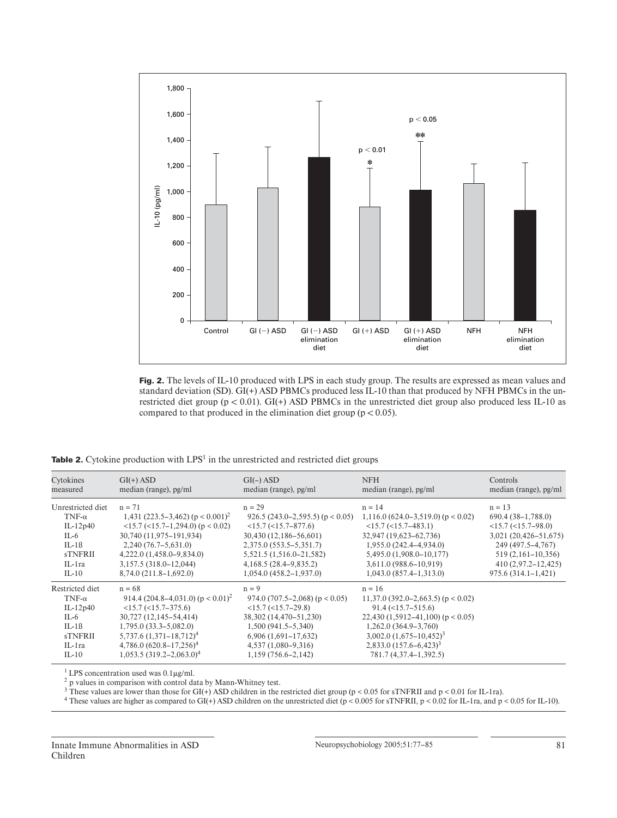

Fig. 2. The levels of IL-10 produced with LPS in each study group. The results are expressed as mean values and standard deviation (SD). GI(+) ASD PBMCs produced less IL-10 than that produced by NFH PBMCs in the unrestricted diet group ( $p < 0.01$ ). GI(+) ASD PBMCs in the unrestricted diet group also produced less IL-10 as compared to that produced in the elimination diet group ( $p < 0.05$ ).

**Table 2.** Cytokine production with LPS<sup>1</sup> in the unrestricted and restricted diet groups

| Cytokines         | $GI(+)$ ASD                                       | $GI(-)$ ASD                        | <b>NFH</b>                               | Controls                 |
|-------------------|---------------------------------------------------|------------------------------------|------------------------------------------|--------------------------|
| measured          | median (range), pg/ml                             | median (range), pg/ml              | median (range), pg/ml                    | median (range), pg/ml    |
| Unrestricted diet | $n = 71$                                          | $n = 29$                           | $n = 14$                                 | $n = 13$                 |
| $TNF-\alpha$      | 1,431 (223.5–3,462) ( $p < 0.001$ ) <sup>2</sup>  | 926.5 $(243.0-2.595.5)$ (p < 0.05) | $1,116.0$ (624.0–3,519.0) ( $p < 0.02$ ) | $690.4(38-1,788.0)$      |
| $IL-12p40$        | $(15.7)(15.7 - 1.294.0)$ (p $(0.02)$ )            | $<15.7$ ( $<15.7-877.6$ )          | $<15.7$ ( $<15.7-483.1$ )                | $<15.7$ ( $<15.7-98.0$ ) |
| IL-6              | 30,740 (11,975-191,934)                           | 30,430 (12,186–56,601)             | 32,947 (19,623-62,736)                   | 3,021 (20,426-51,675)    |
| $IL-1B$           | $2,240(76.7-5.631.0)$                             | 2,375.0 (553.5–5,351.7)            | $1,955.0(242.4-4.934.0)$                 | 249 (497.5–4,767)        |
| <b>sTNFRII</b>    | $4,222.0(1,458.0-9,834.0)$                        | 5,521.5 (1,516.0–21,582)           | $5,495.0(1,908.0-10,177)$                | $519(2,161-10,356)$      |
| $IL-Ira$          | 3,157.5 (318.0–12,044)                            | 4,168.5(28.4–9.835.2)              | 3,611.0 (988.6–10,919)                   | $410(2,97.2-12,425)$     |
| $IL-10$           | 8,74.0 (211.8–1,692.0)                            | $1,054.0(458.2 - 1,937.0)$         | $1,043.0(857.4-1,313.0)$                 | $975.6(314.1-1,421)$     |
| Restricted diet   | $n = 68$                                          | $n = 9$                            | $n = 16$                                 |                          |
| $TNF-\alpha$      | 914.4 (204.8–4,031.0) ( $p < 0.01$ ) <sup>2</sup> | 974.0 $(707.5-2.068)$ (p < 0.05)   | $11,37.0$ (392.0–2,663.5) (p < 0.02)     |                          |
| $IL-12p40$        | $<15.7$ ( $<15.7-375.6$ )                         | $<15.7$ ( $<15.7-29.8$ )           | $91.4 \left( \leq 15.7 - 515.6 \right)$  |                          |
| IL-6              | 30,727 (12,145–54,414)                            | 38,302 (14,470-51,230)             | $22,430$ (1,5912–41,100) (p < 0.05)      |                          |
| $IL-1B$           | $1,795.0(33.3-5,082.0)$                           | $1,500(941.5-5,340)$               | 1,262.0 (364.9–3,760)                    |                          |
| <b>sTNFRII</b>    | $5,737.6$ $(1,371-18,712)^4$                      | $6,906(1,691-17,632)$              | $3,002.0 (1,675 - 10,452)^3$             |                          |
| $IL-Ira$          | $4,786.0 (620.8 - 17,256)^4$                      | $4,537(1,080-9,316)$               | $2,833.0(157.6-6,423)^3$                 |                          |
| $IL-10$           | $1,053.5(319.2-2.063.0)^4$                        | $1,159(756.6-2,142)$               | 781.7 (4,37.4–1,392.5)                   |                          |

 $1$  LPS concentration used was  $0.1 \mu g/ml$ .

2 p values in comparison with control data by Mann-Whitney test.

<sup>3</sup> These values are lower than those for GI(+) ASD children in the restricted diet group (p < 0.05 for sTNFRII and p < 0.01 for IL-1ra).

<sup>4</sup> These values are higher as compared to GI(+) ASD children on the unrestricted diet (p < 0.005 for sTNFRII, p < 0.02 for IL-1ra, and p < 0.05 for IL-10).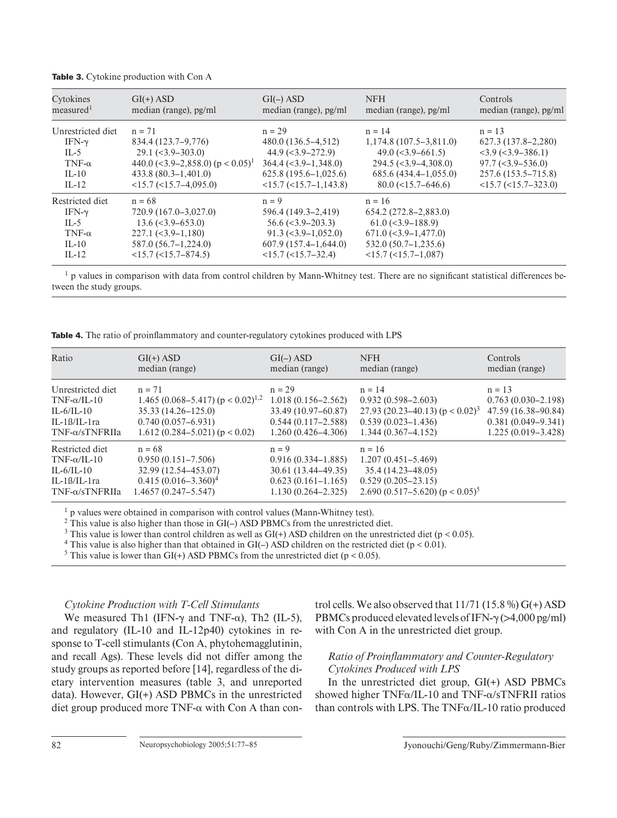| Cytokines             | $GI(+)$ ASD                                     | $GI(-)$ ASD                                   | <b>NFH</b>                                    | Controls                                    |
|-----------------------|-------------------------------------------------|-----------------------------------------------|-----------------------------------------------|---------------------------------------------|
| measured <sup>1</sup> | median (range), pg/ml                           | median (range), pg/ml                         | median (range), pg/ml                         | median (range), pg/ml                       |
| Unrestricted diet     | $n = 71$                                        | $n = 29$                                      | $n = 14$                                      | $n = 13$                                    |
| IFN- $\gamma$         | 834.4 (123.7–9.776)                             | 480.0 (136.5–4,512)                           | $1,174.8(107.5-3.811.0)$                      | 627.3 (137.8–2,280)                         |
| $IL-5$                | $29.1 \left( \leq 3.9 - 303.0 \right)$          | $44.9$ (<3.9-272.9)                           | $49.0 \,(< 3.9 - 661.5)$                      | $<$ 3.9 ( $<$ 3.9–386.1)                    |
| $TNF-\alpha$          | 440.0 $(<$ 3.9–2,858.0) (p < 0.05) <sup>1</sup> | $364.4 \left( \leq 3.9 - 1.348.0 \right)$     | $294.5 \left( \frac{3.9 - 4308.0}{2} \right)$ | $97.7 \left( \frac{3.9 - 536.0}{2} \right)$ |
| $IL-10$               | $433.8(80.3-1,401.0)$                           | $625.8(195.6 - 1.025.6)$                      | $685.6(434.4-1,055.0)$                        | 257.6 (153.5–715.8)                         |
| $IL-12$               | $<15.7$ ( $<15.7-4.095.0$ )                     | $<15.7$ ( $<15.7-1.143.8$ )                   | $80.0$ (<15.7–646.6)                          | $<15.7$ ( $<15.7-323.0$ )                   |
| Restricted diet       | $n = 68$                                        | $n = 9$                                       | $n = 16$                                      |                                             |
| IFN- $\gamma$         | 720.9 (167.0–3,027.0)                           | 596.4 (149.3–2,419)                           | 654.2 (272.8–2,883.0)                         |                                             |
| $IL-5$                | $13.6 \left( \leq 3.9 - 653.0 \right)$          | $56.6 \approx 3.9 - 203.3$                    | $61.0 \left( \frac{3.9 - 188.9}{2} \right)$   |                                             |
| TNF- $\alpha$         | $227.1 (-3.9 - 1,180)$                          | $91.3 \left( \frac{3.9 - 1,052.0}{2} \right)$ | $671.0$ (<3.9-1,477.0)                        |                                             |
| $IL-10$               | $587.0(56.7-1,224.0)$                           | $607.9(157.4-1.644.0)$                        | $532.0(50.7-1,235.6)$                         |                                             |
| $IL-12$               | $<15.7$ ( $<15.7-874.5$ )                       | $<15.7$ ( $<15.7-32.4$ )                      | $<15.7$ ( $<15.7-1.087$ )                     |                                             |

**Table 3.** Cytokine production with Con A

 $<sup>1</sup>$  p values in comparison with data from control children by Mann-Whitney test. There are no significant statistical differences be-</sup> tween the study groups.

**Table 4.** The ratio of proinflammatory and counter-regulatory cytokines produced with LPS

| Ratio                 | $GI(+)$ ASD                                       | $GI(-)$ ASD            | <b>NFH</b>                                      | <b>Controls</b>        |
|-----------------------|---------------------------------------------------|------------------------|-------------------------------------------------|------------------------|
|                       | median (range)                                    | median (range)         | median (range)                                  | median (range)         |
| Unrestricted diet     | $n = 71$                                          | $n = 29$               | $n = 14$                                        | $n = 13$               |
| $TNF-\alpha/IL-10$    | 1.465 (0.068–5.417) ( $p < 0.02$ ) <sup>1,2</sup> | $1.018(0.156 - 2.562)$ | $0.932(0.598 - 2.603)$                          | $0.763(0.030 - 2.198)$ |
| $IL-6/IL-10$          | $35.33(14.26 - 125.0)$                            | 33.49 (10.97–60.87)    | 27.93 (20.23–40.13) ( $p < 0.02$ ) <sup>3</sup> | 47.59 (16.38–90.84)    |
| $IL-1B/IL-1ra$        | $0.740(0.057-6.931)$                              | $0.544(0.117 - 2.588)$ | $0.539(0.023 - 1.436)$                          | $0.381(0.049 - 9.341)$ |
| $TNF-\alpha/sTNFRIIa$ | $1.612(0.284 - 5.021)(p < 0.02)$                  | $1,260(0.426 - 4.306)$ | $1.344(0.367 - 4.152)$                          | $1.225(0.019-3.428)$   |
| Restricted diet       | $n = 68$                                          | $n = 9$                | $n = 16$                                        |                        |
| $TNF-\alpha/IL-10$    | $0.950(0.151 - 7.506)$                            | $0.916(0.334-1.885)$   | $1.207(0.451 - 5.469)$                          |                        |
| $IL-6/IL-10$          | 32.99 (12.54–453.07)                              | $30.61(13.44-49.35)$   | $35.4(14.23 - 48.05)$                           |                        |
| $IL-1B/IL-1ra$        | $0.415(0.016-3.360)^4$                            | $0.623(0.161-1.165)$   | $0.529(0.205 - 23.15)$                          |                        |
| $TNF-\alpha/sTNFRIIa$ | $1.4657(0.247 - 5.547)$                           | $1.130(0.264 - 2.325)$ | 2.690 (0.517–5.620) ( $p < 0.05$ ) <sup>5</sup> |                        |

 $<sup>1</sup>$  p values were obtained in comparison with control values (Mann-Whitney test).</sup>

 $2$  This value is also higher than those in GI( $-$ ) ASD PBMCs from the unrestricted diet.

<sup>3</sup> This value is lower than control children as well as  $GI(+)$  ASD children on the unrestricted diet (p < 0.05).

<sup>4</sup> This value is also higher than that obtained in GI(-) ASD children on the restricted diet ( $p < 0.01$ ).

<sup>5</sup> This value is lower than GI(+) ASD PBMCs from the unrestricted diet ( $p < 0.05$ ).

## *Cytokine Production with T-Cell Stimulants*

We measured Th1 (IFN- $\gamma$  and TNF- $\alpha$ ), Th2 (IL-5), and regulatory (IL-10 and IL-12p40) cytokines in response to T-cell stimulants (Con A, phytohemagglutinin, and recall Ags). These levels did not differ among the study groups as reported before [14], regardless of the dietary intervention measures (table 3, and unreported data). However, GI(+) ASD PBMCs in the unrestricted diet group produced more  $TNF-\alpha$  with Con A than control cells. We also observed that  $11/71$  (15.8 %) G(+) ASD PBMCs produced elevated levels of IFN- $\gamma$  ( $>4,000$  pg/ml) with Con A in the unrestricted diet group.

## *Ratio of Proinfl ammatory and Counter-Regulatory Cytokines Produced with LPS*

In the unrestricted diet group, GI(+) ASD PBMCs showed higher  $TNF\alpha/IL-10$  and  $TNF-\alpha/sTNFRII$  ratios than controls with LPS. The TNF $\alpha$ /IL-10 ratio produced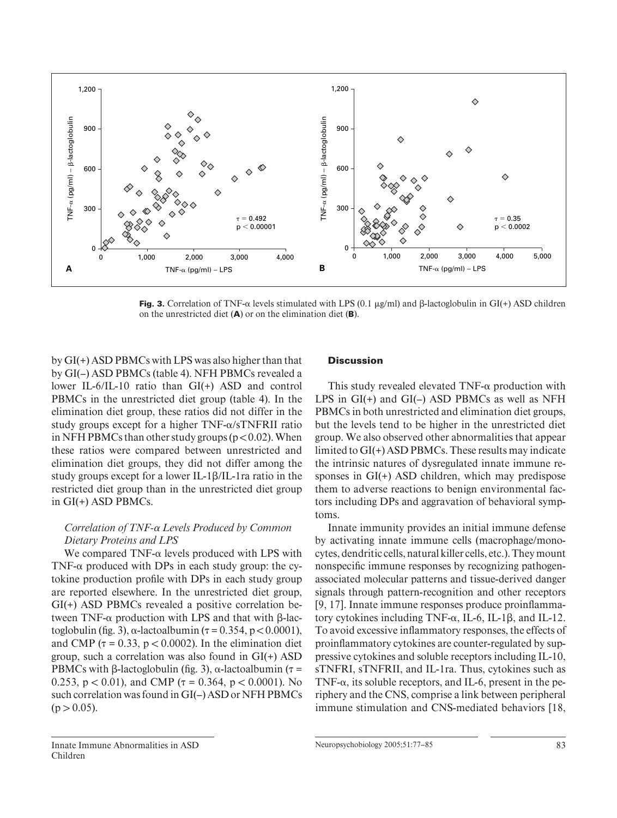

**Fig. 3.** Correlation of TNF- $\alpha$  levels stimulated with LPS (0.1  $\mu$ g/ml) and  $\beta$ -lactoglobulin in GI(+) ASD children on the unrestricted diet (A) or on the elimination diet (B).

by GI(+) ASD PBMCs with LPS was also higher than that by GI(-) ASD PBMCs (table 4). NFH PBMCs revealed a lower IL-6/IL-10 ratio than GI(+) ASD and control PBMCs in the unrestricted diet group (table 4). In the elimination diet group, these ratios did not differ in the study groups except for a higher  $TNF-\alpha/sTNFRII$  ratio in NFH PBMCs than other study groups ( $p < 0.02$ ). When these ratios were compared between unrestricted and elimination diet groups, they did not differ among the study groups except for a lower IL-1 $\beta$ /IL-1 ra ratio in the restricted diet group than in the unrestricted diet group in GI(+) ASD PBMCs.

## *Correlation of TNF-* $\alpha$  *Levels Produced by Common Dietary Proteins and LPS*

We compared TNF- $\alpha$  levels produced with LPS with TNF- $\alpha$  produced with DPs in each study group: the cytokine production profile with DPs in each study group are reported elsewhere. In the unrestricted diet group, GI(+) ASD PBMCs revealed a positive correlation between TNF- $\alpha$  production with LPS and that with  $\beta$ -lactoglobulin (fig. 3),  $\alpha$ -lactoalbumin ( $\tau$  = 0.354, p < 0.0001), and CMP ( $\tau$  = 0.33, p < 0.0002). In the elimination diet group, such a correlation was also found in GI(+) ASD PBMCs with  $\beta$ -lactoglobulin (fig. 3),  $\alpha$ -lactoalbumin ( $\tau$  = 0.253,  $p < 0.01$ ), and CMP ( $\tau = 0.364$ ,  $p < 0.0001$ ). No such correlation was found in GI(–) ASD or NFH PBMCs  $(p > 0.05)$ .

## **Discussion**

This study revealed elevated TNF- $\alpha$  production with LPS in GI(+) and GI(–) ASD PBMCs as well as NFH PBMCs in both unrestricted and elimination diet groups, but the levels tend to be higher in the unrestricted diet group. We also observed other abnormalities that appear limited to GI(+) ASD PBMCs. These results may indicate the intrinsic natures of dysregulated innate immune responses in GI(+) ASD children, which may predispose them to adverse reactions to benign environmental factors including DPs and aggravation of behavioral symptoms.

Innate immunity provides an initial immune defense by activating innate immune cells (macrophage/monocytes, dendritic cells, natural killer cells, etc.). They mount nonspecific immune responses by recognizing pathogenassociated molecular patterns and tissue-derived danger signals through pattern-recognition and other receptors [9, 17]. Innate immune responses produce proinflammatory cytokines including TNF- $\alpha$ , IL-6, IL-1 $\beta$ , and IL-12. To avoid excessive inflammatory responses, the effects of proinflammatory cytokines are counter-regulated by suppressive cytokines and soluble receptors including IL-10, sTNFRI, sTNFRII, and IL-1ra. Thus, cytokines such as TNF- $\alpha$ , its soluble receptors, and IL-6, present in the periphery and the CNS, comprise a link between peripheral immune stimulation and CNS-mediated behaviors [18,

Innate Immune Abnormalities in ASD Children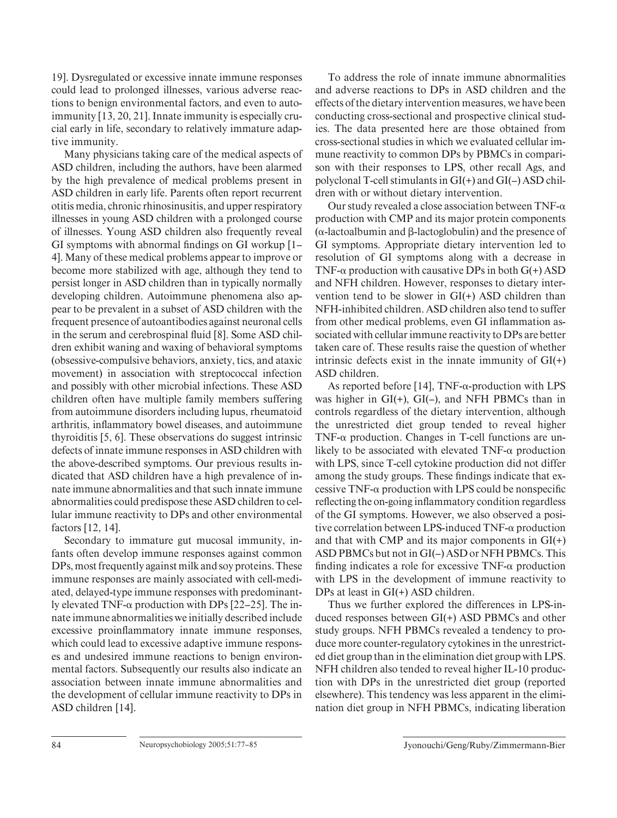19] . Dysregulated or excessive innate immune responses could lead to prolonged illnesses, various adverse reactions to benign environmental factors, and even to autoimmunity [13, 20, 21]. Innate immunity is especially crucial early in life, secondary to relatively immature adaptive immunity.

Many physicians taking care of the medical aspects of ASD children, including the authors, have been alarmed by the high prevalence of medical problems present in ASD children in early life. Parents often report recurrent otitis media, chronic rhinosinusitis, and upper respiratory illnesses in young ASD children with a prolonged course of illnesses. Young ASD children also frequently reveal GI symptoms with abnormal findings on GI workup  $[1-$ 4] . Many of these medical problems appear to improve or become more stabilized with age, although they tend to persist longer in ASD children than in typically normally developing children. Autoimmune phenomena also appear to be prevalent in a subset of ASD children with the frequent presence of autoantibodies against neuronal cells in the serum and cerebrospinal fluid [8]. Some ASD children exhibit waning and waxing of behavioral symptoms (obsessive-compulsive behaviors, anxiety, tics, and ataxic movement) in association with streptococcal infection and possibly with other microbial infections. These ASD children often have multiple family members suffering from autoimmune disorders including lupus, rheumatoid arthritis, inflammatory bowel diseases, and autoimmune thyroiditis  $[5, 6]$ . These observations do suggest intrinsic defects of innate immune responses in ASD children with the above-described symptoms. Our previous results indicated that ASD children have a high prevalence of innate immune abnormalities and that such innate immune abnormalities could predispose these ASD children to cellular immune reactivity to DPs and other environmental factors [12, 14].

Secondary to immature gut mucosal immunity, infants often develop immune responses against common DPs, most frequently against milk and soy proteins. These immune responses are mainly associated with cell-mediated, delayed-type immune responses with predominantly elevated TNF- $\alpha$  production with DPs [22–25]. The innate immune abnormalities we initially described include excessive proinflammatory innate immune responses, which could lead to excessive adaptive immune responses and undesired immune reactions to benign environmental factors. Subsequently our results also indicate an association between innate immune abnormalities and the development of cellular immune reactivity to DPs in ASD children [14].

To address the role of innate immune abnormalities and adverse reactions to DPs in ASD children and the effects of the dietary intervention measures, we have been conducting cross-sectional and prospective clinical studies. The data presented here are those obtained from cross-sectional studies in which we evaluated cellular immune reactivity to common DPs by PBMCs in comparison with their responses to LPS, other recall Ags, and polyclonal T-cell stimulants in GI(+) and GI(–) ASD children with or without dietary intervention.

Our study revealed a close association between TNF- $\alpha$ production with CMP and its major protein components  $(\alpha$ -lactoalbumin and  $\beta$ -lactoglobulin) and the presence of GI symptoms. Appropriate dietary intervention led to resolution of GI symptoms along with a decrease in TNF- $\alpha$  production with causative DPs in both G(+) ASD and NFH children. However, responses to dietary intervention tend to be slower in GI(+) ASD children than NFH-inhibited children. ASD children also tend to suffer from other medical problems, even GI inflammation associated with cellular immune reactivity to DPs are better taken care of. These results raise the question of whether intrinsic defects exist in the innate immunity of  $GI(+)$ ASD children.

As reported before [14],  $TNF-\alpha$ -production with LPS was higher in GI(+), GI(–), and NFH PBMCs than in controls regardless of the dietary intervention, although the unrestricted diet group tended to reveal higher TNF- $\alpha$  production. Changes in T-cell functions are unlikely to be associated with elevated  $TNF-\alpha$  production with LPS, since T-cell cytokine production did not differ among the study groups. These findings indicate that excessive TNF- $\alpha$  production with LPS could be nonspecific reflecting the on-going inflammatory condition regardless of the GI symptoms. However, we also observed a positive correlation between LPS-induced  $TNF-\alpha$  production and that with CMP and its major components in  $GI(+)$ ASD PBMCs but not in GI(–) ASD or NFH PBMCs. This finding indicates a role for excessive  $TNF-\alpha$  production with LPS in the development of immune reactivity to DPs at least in GI(+) ASD children.

Thus we further explored the differences in LPS-induced responses between GI(+) ASD PBMCs and other study groups. NFH PBMCs revealed a tendency to produce more counter-regulatory cytokines in the unrestricted diet group than in the elimination diet group with LPS. NFH children also tended to reveal higher IL-10 production with DPs in the unrestricted diet group (reported elsewhere). This tendency was less apparent in the elimination diet group in NFH PBMCs, indicating liberation